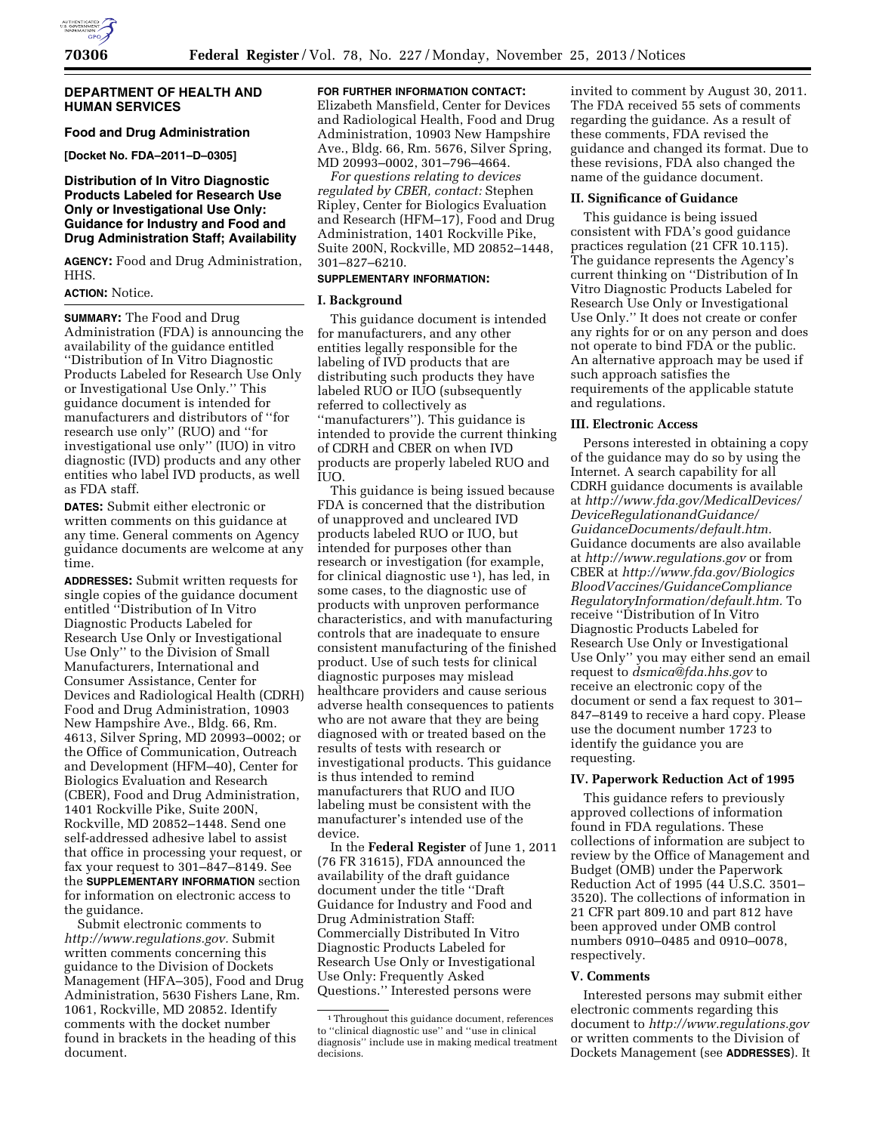

HHS.

**ACTION:** Notice.

as FDA staff.

the guidance.

document.

Submit electronic comments to *[http://www.regulations.gov.](http://www.regulations.gov)* Submit written comments concerning this guidance to the Division of Dockets Management (HFA–305), Food and Drug Administration, 5630 Fishers Lane, Rm. 1061, Rockville, MD 20852. Identify comments with the docket number found in brackets in the heading of this

time.

**FOR FURTHER INFORMATION CONTACT:** 

# **DEPARTMENT OF HEALTH AND HUMAN SERVICES**

**Distribution of In Vitro Diagnostic Products Labeled for Research Use Only or Investigational Use Only: Guidance for Industry and Food and Drug Administration Staff; Availability AGENCY:** Food and Drug Administration,

**[Docket No. FDA–2011–D–0305]** 

**SUMMARY:** The Food and Drug

**DATES:** Submit either electronic or written comments on this guidance at any time. General comments on Agency guidance documents are welcome at any

**ADDRESSES:** Submit written requests for single copies of the guidance document entitled ''Distribution of In Vitro Diagnostic Products Labeled for Research Use Only or Investigational Use Only'' to the Division of Small Manufacturers, International and Consumer Assistance, Center for Devices and Radiological Health (CDRH) Food and Drug Administration, 10903 New Hampshire Ave., Bldg. 66, Rm. 4613, Silver Spring, MD 20993–0002; or the Office of Communication, Outreach and Development (HFM–40), Center for Biologics Evaluation and Research (CBER), Food and Drug Administration, 1401 Rockville Pike, Suite 200N, Rockville, MD 20852–1448. Send one self-addressed adhesive label to assist that office in processing your request, or fax your request to 301–847–8149. See the **SUPPLEMENTARY INFORMATION** section for information on electronic access to

Administration (FDA) is announcing the availability of the guidance entitled ''Distribution of In Vitro Diagnostic Products Labeled for Research Use Only or Investigational Use Only.'' This guidance document is intended for manufacturers and distributors of ''for research use only'' (RUO) and ''for investigational use only'' (IUO) in vitro diagnostic (IVD) products and any other entities who label IVD products, as well

**Food and Drug Administration**  Elizabeth Mansfield, Center for Devices and Radiological Health, Food and Drug Administration, 10903 New Hampshire Ave., Bldg. 66, Rm. 5676, Silver Spring,

MD 20993–0002, 301–796–4664. *For questions relating to devices regulated by CBER, contact:* Stephen Ripley, Center for Biologics Evaluation and Research (HFM–17), Food and Drug Administration, 1401 Rockville Pike, Suite 200N, Rockville, MD 20852–1448, 301–827–6210.

### **SUPPLEMENTARY INFORMATION:**

#### **I. Background**

This guidance document is intended for manufacturers, and any other entities legally responsible for the labeling of IVD products that are distributing such products they have labeled RUO or IUO (subsequently referred to collectively as ''manufacturers''). This guidance is intended to provide the current thinking of CDRH and CBER on when IVD products are properly labeled RUO and IUO.

This guidance is being issued because FDA is concerned that the distribution of unapproved and uncleared IVD products labeled RUO or IUO, but intended for purposes other than research or investigation (for example, for clinical diagnostic use 1), has led, in some cases, to the diagnostic use of products with unproven performance characteristics, and with manufacturing controls that are inadequate to ensure consistent manufacturing of the finished product. Use of such tests for clinical diagnostic purposes may mislead healthcare providers and cause serious adverse health consequences to patients who are not aware that they are being diagnosed with or treated based on the results of tests with research or investigational products. This guidance is thus intended to remind manufacturers that RUO and IUO labeling must be consistent with the manufacturer's intended use of the device.

In the **Federal Register** of June 1, 2011 (76 FR 31615), FDA announced the availability of the draft guidance document under the title ''Draft Guidance for Industry and Food and Drug Administration Staff: Commercially Distributed In Vitro Diagnostic Products Labeled for Research Use Only or Investigational Use Only: Frequently Asked Questions.'' Interested persons were

invited to comment by August 30, 2011. The FDA received 55 sets of comments regarding the guidance. As a result of these comments, FDA revised the guidance and changed its format. Due to these revisions, FDA also changed the name of the guidance document.

#### **II. Significance of Guidance**

This guidance is being issued consistent with FDA's good guidance practices regulation (21 CFR 10.115). The guidance represents the Agency's current thinking on ''Distribution of In Vitro Diagnostic Products Labeled for Research Use Only or Investigational Use Only.'' It does not create or confer any rights for or on any person and does not operate to bind FDA or the public. An alternative approach may be used if such approach satisfies the requirements of the applicable statute and regulations.

#### **III. Electronic Access**

Persons interested in obtaining a copy of the guidance may do so by using the Internet. A search capability for all CDRH guidance documents is available at *[http://www.fda.gov/MedicalDevices/](http://www.fda.gov/MedicalDevices/DeviceRegulationandGuidance/GuidanceDocuments/default.htm) [DeviceRegulationandGuidance/](http://www.fda.gov/MedicalDevices/DeviceRegulationandGuidance/GuidanceDocuments/default.htm) [GuidanceDocuments/default.htm.](http://www.fda.gov/MedicalDevices/DeviceRegulationandGuidance/GuidanceDocuments/default.htm)*  Guidance documents are also available at *<http://www.regulations.gov>* or from CBER at *[http://www.fda.gov/Biologics](http://www.fda.gov/BiologicsBloodVaccines/GuidanceComplianceRegulatoryInformation/default.htm) [BloodVaccines/GuidanceCompliance](http://www.fda.gov/BiologicsBloodVaccines/GuidanceComplianceRegulatoryInformation/default.htm) [RegulatoryInformation/default.htm.](http://www.fda.gov/BiologicsBloodVaccines/GuidanceComplianceRegulatoryInformation/default.htm)* To receive ''Distribution of In Vitro Diagnostic Products Labeled for Research Use Only or Investigational Use Only'' you may either send an email request to *[dsmica@fda.hhs.gov](mailto:dsmica@fda.hhs.gov)* to receive an electronic copy of the document or send a fax request to 301– 847–8149 to receive a hard copy. Please use the document number 1723 to identify the guidance you are requesting.

# **IV. Paperwork Reduction Act of 1995**

This guidance refers to previously approved collections of information found in FDA regulations. These collections of information are subject to review by the Office of Management and Budget (OMB) under the Paperwork Reduction Act of 1995 (44 U.S.C. 3501– 3520). The collections of information in 21 CFR part 809.10 and part 812 have been approved under OMB control numbers 0910–0485 and 0910–0078, respectively.

#### **V. Comments**

Interested persons may submit either electronic comments regarding this document to *<http://www.regulations.gov>* or written comments to the Division of Dockets Management (see **ADDRESSES**). It

<sup>1</sup>Throughout this guidance document, references to ''clinical diagnostic use'' and ''use in clinical diagnosis'' include use in making medical treatment decisions.